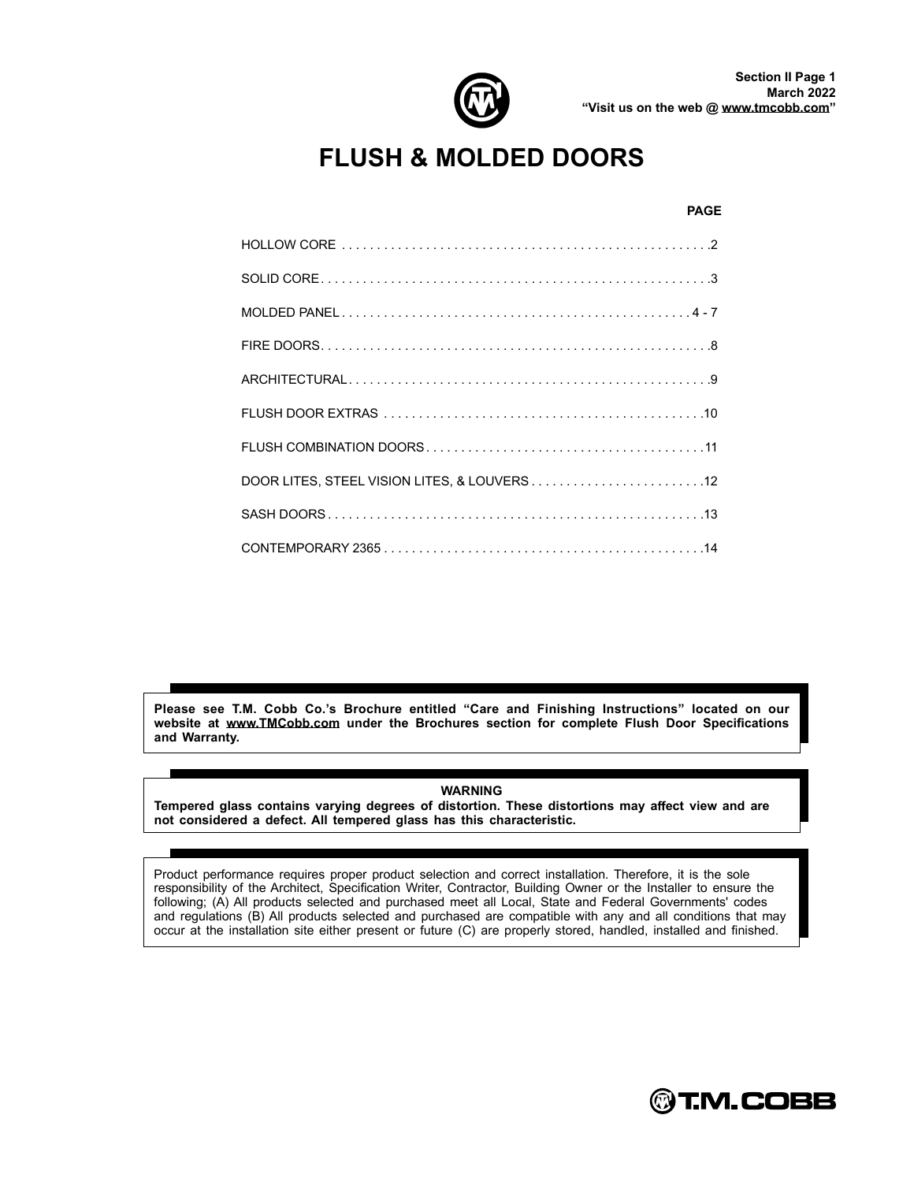

# **FLUSH & MOLDED DOORS**

#### **PAGE**

| DOOR LITES, STEEL VISION LITES, & LOUVERS12 |
|---------------------------------------------|
|                                             |
|                                             |

**Please see T.M. Cobb Co.s Brochure entitled Care and Finishing Instructions located on our website at [www.TMCobb.com](http://www.TMCobb.com) under the Brochures section for complete Flush Door Specications and Warranty.**

**WARNING Tempered glass contains varying degrees of distortion. These distortions may a ect view and are not considered a defect. All tempered glass has this characteristic.**

Product performance requires proper product selection and correct installation. Therefore, it is the sole responsibility of the Architect, Specification Writer, Contractor, Building Owner or the Installer to ensure the following; (A) All products selected and purchased meet all Local, State and Federal Governments' codes and regulations (B) All products selected and purchased are compatible with any and all conditions that may occur at the installation site either present or future (C) are properly stored, handled, installed and finished.

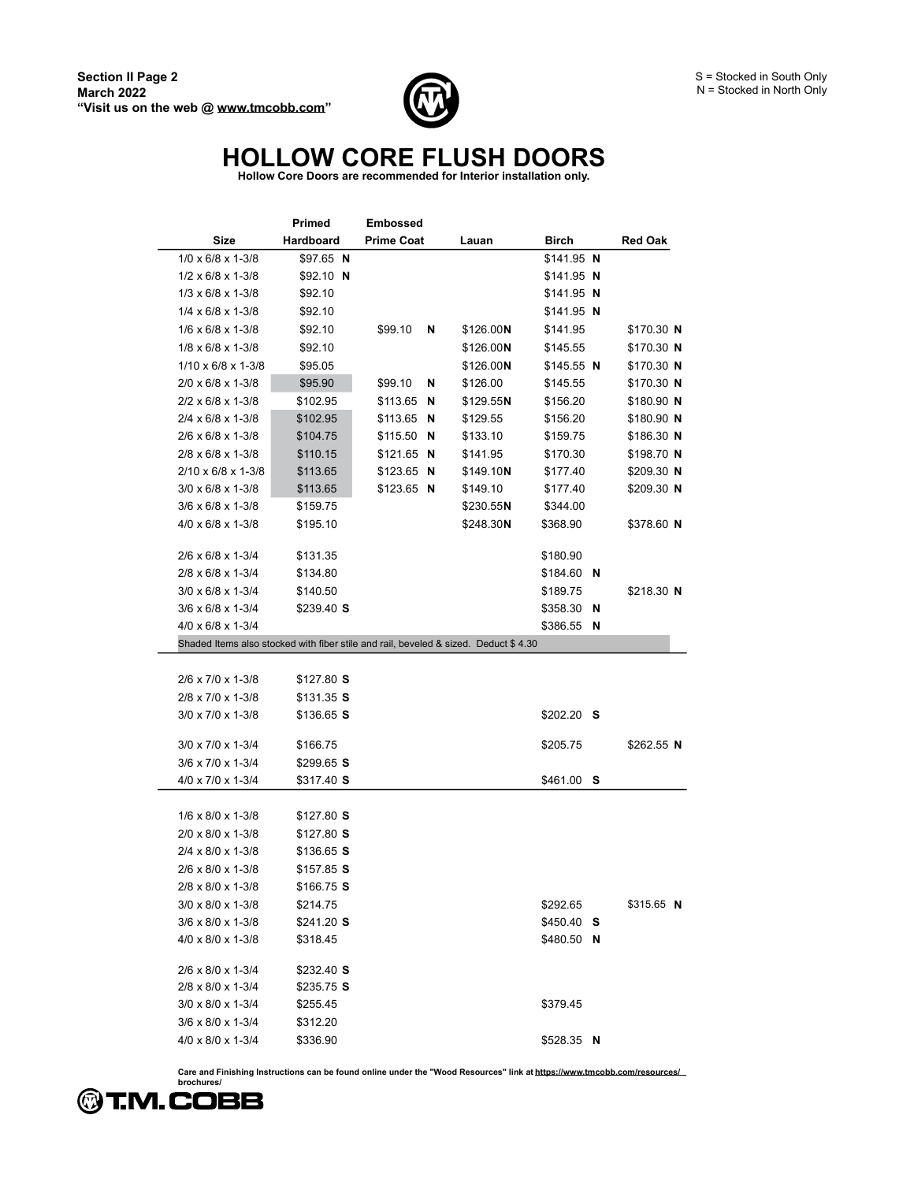

# **HOLLOW CORE FLUSH DOORS Hollow Core Doors are recommended for Interior installation only.**

|                                                                                     | <b>Primed</b> | <b>Embossed</b>   |            |              |                |
|-------------------------------------------------------------------------------------|---------------|-------------------|------------|--------------|----------------|
| <b>Size</b>                                                                         | Hardboard     | <b>Prime Coat</b> | Lauan      | <b>Birch</b> | <b>Red Oak</b> |
| $1/0 \times 6/8 \times 1-3/8$                                                       | $$97.65$ N    |                   |            | $$141.95$ N  |                |
| $1/2 \times 6/8 \times 1-3/8$                                                       | $$92.10$ N    |                   |            | $$141.95$ N  |                |
| $1/3 \times 6/8 \times 1-3/8$                                                       | \$92.10       |                   |            | $$141.95$ N  |                |
| $1/4 \times 6/8 \times 1-3/8$                                                       | \$92.10       |                   |            | $$141.95$ N  |                |
| $1/6 \times 6/8 \times 1-3/8$                                                       | \$92.10       | \$99.10<br>N      | \$126.00N  | \$141.95     | \$170.30 N     |
| $1/8 \times 6/8 \times 1-3/8$                                                       | \$92.10       |                   | \$126.00N  | \$145.55     | \$170.30 N     |
| $1/10 \times 6/8 \times 1-3/8$                                                      | \$95.05       |                   | \$126.00N  | $$145.55$ N  | \$170.30 N     |
| $2/0 \times 6/8 \times 1 - 3/8$                                                     | \$95.90       | \$99.10<br>N      | \$126.00   | \$145.55     | \$170.30 N     |
| $2/2 \times 6/8 \times 1 - 3/8$                                                     | \$102.95      | \$113.65<br>N     | \$129.55N  | \$156.20     | \$180.90 N     |
| 2/4 x 6/8 x 1-3/8                                                                   | \$102.95      | \$113.65<br>N     | \$129.55   | \$156.20     | \$180.90 N     |
| 2/6 x 6/8 x 1-3/8                                                                   | \$104.75      | \$115.50<br>N     | \$133.10   | \$159.75     | \$186.30 N     |
| $2/8 \times 6/8 \times 1 - \frac{3}{8}$                                             | \$110.15      | $$121.65$ N       | \$141.95   | \$170.30     | \$198.70 N     |
| $2/10 \times 6/8 \times 1-3/8$                                                      | \$113.65      | $$123.65$ N       | \$149.10N  | \$177.40     | \$209.30 N     |
| $3/0 \times 6/8 \times 1 - 3/8$                                                     | \$113.65      | $$123.65$ N       | \$149.10   | \$177.40     | \$209.30 N     |
| $3/6 \times 6/8 \times 1-3/8$                                                       | \$159.75      |                   | \$230.55N  | \$344.00     |                |
| 4/0 x 6/8 x 1-3/8                                                                   | \$195.10      |                   | \$248.30 N | \$368.90     | \$378.60 N     |
| 2/6 x 6/8 x 1-3/4                                                                   | \$131.35      |                   |            | \$180.90     |                |
| $2/8 \times 6/8 \times 1 - 3/4$                                                     | \$134.80      |                   |            | \$184.60     | N              |
| $3/0 \times 6/8 \times 1 - 3/4$                                                     | \$140.50      |                   |            | \$189.75     | \$218.30 N     |
| $3/6 \times 6/8 \times 1 - 3/4$                                                     | \$239.40 S    |                   |            | \$358.30     | N              |
| $4/0 \times 6/8 \times 1 - 3/4$                                                     |               |                   |            | \$386.55 N   |                |
| Shaded Items also stocked with fiber stile and rail, beveled & sized. Deduct \$4.30 |               |                   |            |              |                |
|                                                                                     |               |                   |            |              |                |
| 2/6 x 7/0 x 1-3/8                                                                   | \$127.80S     |                   |            |              |                |
| 2/8 x 7/0 x 1-3/8                                                                   | $$131.35$ S   |                   |            |              |                |
| 3/0 x 7/0 x 1-3/8                                                                   | \$136.65 S    |                   |            | \$202.20 S   |                |
| 3/0 x 7/0 x 1-3/4                                                                   | \$166.75      |                   |            | \$205.75     | \$262.55 N     |
| $3/6 \times 7/0 \times 1-3/4$                                                       | $$299.65$ S   |                   |            |              |                |
| 4/0 x 7/0 x 1-3/4                                                                   | \$317.40 S    |                   |            | \$461.00 S   |                |
|                                                                                     |               |                   |            |              |                |
| $1/6 \times 8/0 \times 1-3/8$                                                       | \$127.80 S    |                   |            |              |                |
| 2/0 x 8/0 x 1-3/8                                                                   | $$127.80$ S   |                   |            |              |                |
| $2/4 \times 8/0 \times 1-3/8$                                                       | \$136.65 S    |                   |            |              |                |
| $2/6 \times 8/0 \times 1-3/8$                                                       | \$157.85 S    |                   |            |              |                |
| 2/8 x 8/0 x 1-3/8                                                                   | \$166.75 S    |                   |            |              |                |
| $3/0 \times 8/0 \times 1-3/8$                                                       | \$214.75      |                   |            | \$292.65     | \$315.65 N     |
| $3/6 \times 8/0 \times 1-3/8$                                                       | \$241.20 S    |                   |            | $$450.40$ S  |                |
| 4/0 x 8/0 x 1-3/8                                                                   | \$318.45      |                   |            | \$480.50 N   |                |
| 2/6 x 8/0 x 1-3/4                                                                   | \$232.40 S    |                   |            |              |                |
| 2/8 x 8/0 x 1-3/4                                                                   | \$235.75 S    |                   |            |              |                |
| $3/0 \times 8/0 \times 1 - 3/4$                                                     | \$255.45      |                   |            | \$379.45     |                |
| $3/6 \times 8/0 \times 1-3/4$                                                       | \$312.20      |                   |            |              |                |
| 4/0 x 8/0 x 1-3/4                                                                   | \$336.90      |                   |            | $$528.35$ N  |                |

**Care and Finishing Instructions can be found online under the "Wood Resources" link at <https://www.tmcobb.com/resources/> brochures/**

©T.M.COBB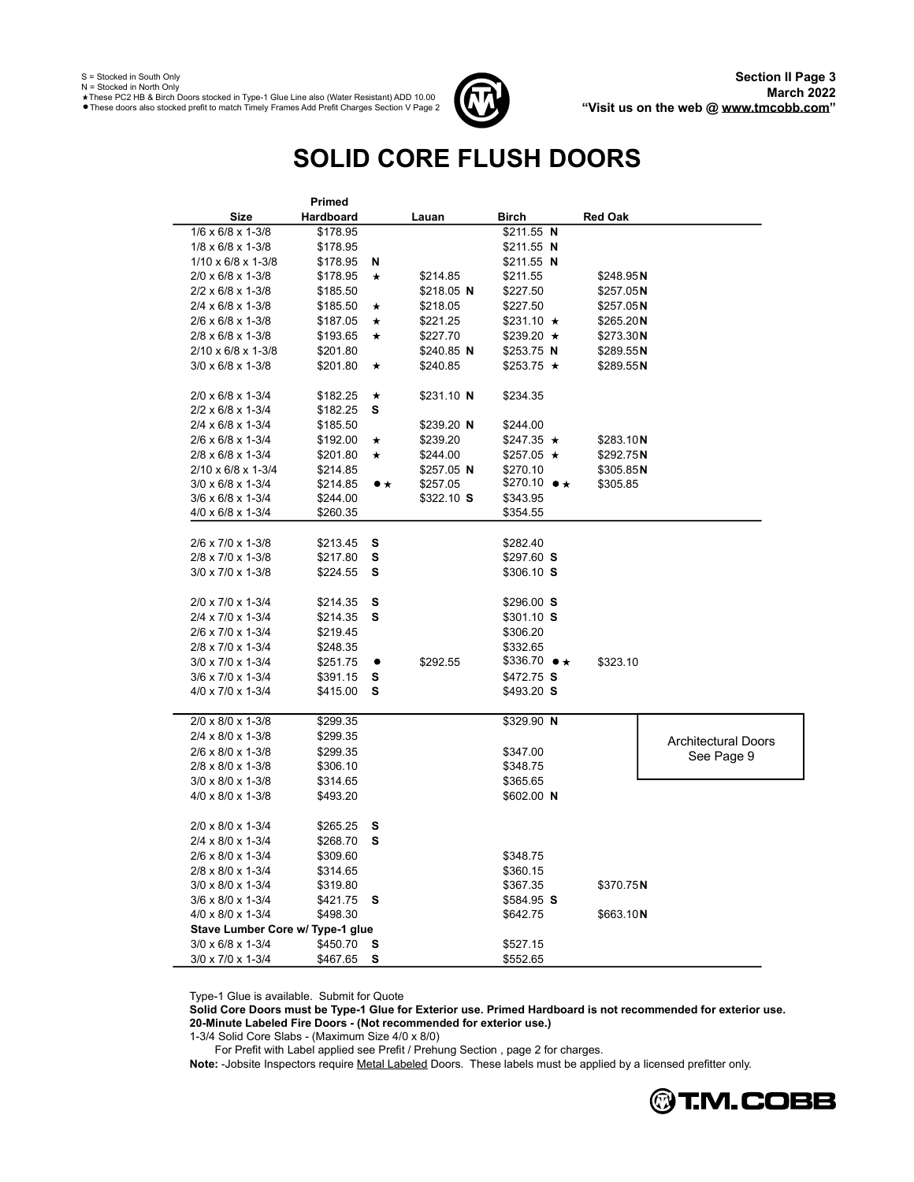S = Stocked in South Only N = Stocked in North Only

These PC2 HB & Birch Doors stocked in Type-1 Glue Line also (Water Resistant) ADD 10.00<br>These doors also stocked prefit to match Timely Frames Add Prefit Charges Section V Page 2



# **SOLID CORE FLUSH DOORS**

|                                         | <b>Primed</b> |                |             |                          |                |                            |
|-----------------------------------------|---------------|----------------|-------------|--------------------------|----------------|----------------------------|
| Size                                    | Hardboard     | Lauan          |             | Birch                    | <b>Red Oak</b> |                            |
| $1/6 \times 6/8 \times 1-3/8$           | \$178.95      |                |             | $$211.55$ N              |                |                            |
| $1/8 \times 6/8 \times 1-3/8$           | \$178.95      |                |             | $$211.55$ N              |                |                            |
| $1/10 \times 6/8 \times 1-3/8$          | \$178.95      | N              |             | \$211.55 N               |                |                            |
| $2/0 \times 6/8 \times 1-3/8$           | \$178.95      | $\star$        | \$214.85    | \$211.55                 | \$248.95 N     |                            |
| $2/2 \times 6/8 \times 1 - 3/8$         | \$185.50      |                | \$218.05 N  | \$227.50                 | \$257.05 N     |                            |
| 2/4 x 6/8 x 1-3/8                       | \$185.50      | $^\star$       | \$218.05    | \$227.50                 | \$257.05 N     |                            |
| 2/6 x 6/8 x 1-3/8                       | \$187.05      | *              | \$221.25    | $$231.10 \star$          | \$265.20 N     |                            |
| 2/8 x 6/8 x 1-3/8                       | \$193.65      | *              | \$227.70    | $$239.20 \star$          | \$273.30 N     |                            |
| 2/10 x 6/8 x 1-3/8                      | \$201.80      |                | $$240.85$ N | $$253.75$ N              | \$289.55 N     |                            |
| $3/0 \times 6/8 \times 1-3/8$           | \$201.80      | $\star$        | \$240.85    | $$253.75$ $\star$        | \$289.55 N     |                            |
|                                         |               |                |             |                          |                |                            |
| $2/0 \times 6/8 \times 1-3/4$           | \$182.25      | $\star$        | $$231.10$ N | \$234.35                 |                |                            |
| 2/2 x 6/8 x 1-3/4                       | \$182.25      | s              |             |                          |                |                            |
| 2/4 x 6/8 x 1-3/4                       | \$185.50      |                | $$239.20$ N | \$244.00                 |                |                            |
| 2/6 x 6/8 x 1-3/4                       | \$192.00      | *              | \$239.20    | $$247.35 \star$          | \$283.10 N     |                            |
| $2/8 \times 6/8 \times 1 - \frac{3}{4}$ | \$201.80      | $\star$        | \$244.00    | $$257.05 \star$          | \$292.75 N     |                            |
| $2/10 \times 6/8 \times 1-3/4$          | \$214.85      |                | $$257.05$ N | \$270.10                 | \$305.85 N     |                            |
| $3/0 \times 6/8 \times 1 - 3/4$         | \$214.85      | $\bullet\star$ | \$257.05    | $$270.10$ $\bullet\star$ | \$305.85       |                            |
| $3/6 \times 6/8 \times 1-3/4$           | \$244.00      |                | \$322.10S   | \$343.95                 |                |                            |
| 4/0 x 6/8 x 1-3/4                       | \$260.35      |                |             | \$354.55                 |                |                            |
|                                         |               |                |             |                          |                |                            |
| 2/6 x 7/0 x 1-3/8                       | \$213.45      | S              |             | \$282.40                 |                |                            |
| 2/8 x 7/0 x 1-3/8                       | \$217.80      | s              |             | $$297.60$ S              |                |                            |
| $3/0 \times 7/0 \times 1-3/8$           | \$224.55      | s              |             | $$306.10$ S              |                |                            |
|                                         |               |                |             |                          |                |                            |
| 2/0 x 7/0 x 1-3/4                       | \$214.35      | s              |             | \$296.00S                |                |                            |
| 2/4 x 7/0 x 1-3/4                       | \$214.35      | s              |             | $$301.10$ S              |                |                            |
| 2/6 x 7/0 x 1-3/4                       | \$219.45      |                |             | \$306.20                 |                |                            |
| 2/8 x 7/0 x 1-3/4                       | \$248.35      |                |             | \$332.65                 |                |                            |
| $3/0 \times 7/0 \times 1-3/4$           | \$251.75      | ٠              | \$292.55    | $$336.70 \bullet \star$  | \$323.10       |                            |
| 3/6 x 7/0 x 1-3/4                       | \$391.15      | s              |             | $$472.75$ S              |                |                            |
| 4/0 x 7/0 x 1-3/4                       | \$415.00      | s              |             | $$493.20$ S              |                |                            |
| 2/0 x 8/0 x 1-3/8                       | \$299.35      |                |             | \$329.90 N               |                |                            |
| 2/4 x 8/0 x 1-3/8                       | \$299.35      |                |             |                          |                |                            |
| 2/6 x 8/0 x 1-3/8                       | \$299.35      |                |             | \$347.00                 |                | <b>Architectural Doors</b> |
| 2/8 x 8/0 x 1-3/8                       | \$306.10      |                |             | \$348.75                 |                | See Page 9                 |
| $3/0 \times 8/0 \times 1-3/8$           | \$314.65      |                |             | \$365.65                 |                |                            |
| 4/0 x 8/0 x 1-3/8                       | \$493.20      |                |             | $$602.00$ N              |                |                            |
|                                         |               |                |             |                          |                |                            |
| 2/0 x 8/0 x 1-3/4                       | \$265.25      | s              |             |                          |                |                            |
| 2/4 x 8/0 x 1-3/4                       | \$268.70      | s              |             |                          |                |                            |
| 2/6 x 8/0 x 1-3/4                       | \$309.60      |                |             | \$348.75                 |                |                            |
| 2/8 x 8/0 x 1-3/4                       | \$314.65      |                |             | \$360.15                 |                |                            |
| 3/0 x 8/0 x 1-3/4                       | \$319.80      |                |             | \$367.35                 | \$370.75N      |                            |
| $3/6 \times 8/0 \times 1-3/4$           | \$421.75      | s              |             | $$584.95$ S              |                |                            |
| 4/0 x 8/0 x 1-3/4                       | \$498.30      |                |             | \$642.75                 | \$663.10 N     |                            |
| Stave Lumber Core w/ Type-1 glue        |               |                |             |                          |                |                            |
| 3/0 x 6/8 x 1-3/4                       | \$450.70      | s              |             | \$527.15                 |                |                            |
| 3/0 x 7/0 x 1-3/4                       | \$467.65      | s              |             | \$552.65                 |                |                            |

Type-1 Glue is available. Submit for Quote

**Solid Core Doors must be Type-1 Glue for Exterior use. Primed Hardboard is not recommended for exterior use. 20-Minute Labeled Fire Doors - (Not recommended for exterior use.)**

1-3/4 Solid Core Slabs - (Maximum Size 4/0 x 8/0)

For Prefit with Label applied see Prefit / Prehung Section, page 2 for charges.

Note: -Jobsite Inspectors require Metal Labeled Doors. These labels must be applied by a licensed prefitter only.

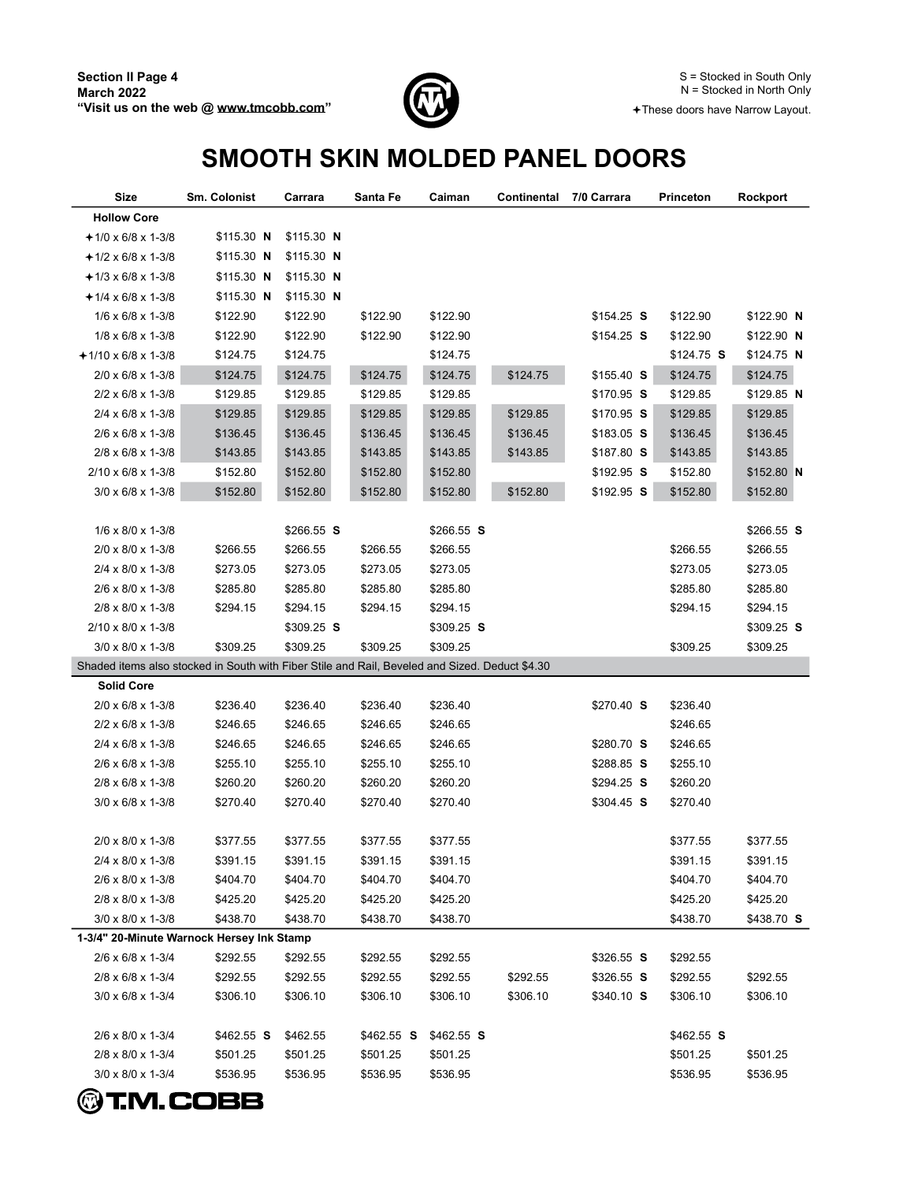

### **SMOOTH SKIN MOLDED PANEL DOORS**

| Size                                                                                           | Sm. Colonist | Carrara     | Santa Fe    | Caiman      | Continental | 7/0 Carrara | Princeton   | Rockport    |
|------------------------------------------------------------------------------------------------|--------------|-------------|-------------|-------------|-------------|-------------|-------------|-------------|
| <b>Hollow Core</b>                                                                             |              |             |             |             |             |             |             |             |
| $+1/0 \times 6/8 \times 1-3/8$                                                                 | $$115.30$ N  | $$115.30$ N |             |             |             |             |             |             |
| $+1/2 \times 6/8 \times 1-3/8$                                                                 | $$115.30$ N  | $$115.30$ N |             |             |             |             |             |             |
| $+1/3 \times 6/8 \times 1-3/8$                                                                 | $$115.30$ N  | $$115.30$ N |             |             |             |             |             |             |
| $+1/4 \times 6/8 \times 1-3/8$                                                                 | $$115.30$ N  | $$115.30$ N |             |             |             |             |             |             |
| $1/6 \times 6/8 \times 1-3/8$                                                                  | \$122.90     | \$122.90    | \$122.90    | \$122.90    |             | $$154.25$ S | \$122.90    | \$122.90 N  |
| $1/8 \times 6/8 \times 1-3/8$                                                                  | \$122.90     | \$122.90    | \$122.90    | \$122.90    |             | $$154.25$ S | \$122.90    | \$122.90 N  |
| $+1/10 \times 6/8 \times 1-3/8$                                                                | \$124.75     | \$124.75    |             | \$124.75    |             |             | $$124.75$ S | $$124.75$ N |
| $2/0 \times 6/8 \times 1 - 3/8$                                                                | \$124.75     | \$124.75    | \$124.75    | \$124.75    | \$124.75    | $$155.40$ S | \$124.75    | \$124.75    |
| $2/2 \times 6/8 \times 1 - 3/8$                                                                | \$129.85     | \$129.85    | \$129.85    | \$129.85    |             | $$170.95$ S | \$129.85    | $$129.85$ N |
| $2/4 \times 6/8 \times 1 - 3/8$                                                                | \$129.85     | \$129.85    | \$129.85    | \$129.85    | \$129.85    | $$170.95$ S | \$129.85    | \$129.85    |
| $2/6 \times 6/8 \times 1-3/8$                                                                  | \$136.45     | \$136.45    | \$136.45    | \$136.45    | \$136.45    | $$183.05$ S | \$136.45    | \$136.45    |
| 2/8 x 6/8 x 1-3/8                                                                              | \$143.85     | \$143.85    | \$143.85    | \$143.85    | \$143.85    | \$187.80 S  | \$143.85    | \$143.85    |
| $2/10 \times 6/8 \times 1-3/8$                                                                 | \$152.80     | \$152.80    | \$152.80    | \$152.80    |             | $$192.95$ S | \$152.80    | $$152.80$ N |
| $3/0 \times 6/8 \times 1-3/8$                                                                  | \$152.80     | \$152.80    | \$152.80    | \$152.80    | \$152.80    | $$192.95$ S | \$152.80    | \$152.80    |
|                                                                                                |              |             |             |             |             |             |             |             |
| $1/6 \times 8/0 \times 1-3/8$                                                                  |              | $$266.55$ S |             | $$266.55$ S |             |             |             | $$266.55$ S |
| 2/0 x 8/0 x 1-3/8                                                                              | \$266.55     | \$266.55    | \$266.55    | \$266.55    |             |             | \$266.55    | \$266.55    |
| 2/4 x 8/0 x 1-3/8                                                                              | \$273.05     | \$273.05    | \$273.05    | \$273.05    |             |             | \$273.05    | \$273.05    |
| 2/6 x 8/0 x 1-3/8                                                                              | \$285.80     | \$285.80    | \$285.80    | \$285.80    |             |             | \$285.80    | \$285.80    |
| 2/8 x 8/0 x 1-3/8                                                                              | \$294.15     | \$294.15    | \$294.15    | \$294.15    |             |             | \$294.15    | \$294.15    |
| 2/10 x 8/0 x 1-3/8                                                                             |              | $$309.25$ S |             | $$309.25$ S |             |             |             | $$309.25$ S |
| $3/0 \times 8/0 \times 1-3/8$                                                                  | \$309.25     | \$309.25    | \$309.25    | \$309.25    |             |             | \$309.25    | \$309.25    |
| Shaded items also stocked in South with Fiber Stile and Rail, Beveled and Sized. Deduct \$4.30 |              |             |             |             |             |             |             |             |
| <b>Solid Core</b>                                                                              |              |             |             |             |             |             |             |             |
| $2/0 \times 6/8 \times 1-3/8$                                                                  | \$236.40     | \$236.40    | \$236.40    | \$236.40    |             | $$270.40$ S | \$236.40    |             |
| $2/2 \times 6/8 \times 1 - 3/8$                                                                | \$246.65     | \$246.65    | \$246.65    | \$246.65    |             |             | \$246.65    |             |
| $2/4 \times 6/8 \times 1 - \frac{3}{8}$                                                        | \$246.65     | \$246.65    | \$246.65    | \$246.65    |             | $$280.70$ S | \$246.65    |             |
| $2/6 \times 6/8 \times 1-3/8$                                                                  | \$255.10     | \$255.10    | \$255.10    | \$255.10    |             | $$288.85$ S | \$255.10    |             |
| $2/8 \times 6/8 \times 1 - 3/8$                                                                | \$260.20     | \$260.20    | \$260.20    | \$260.20    |             | $$294.25$ S | \$260.20    |             |
| $3/0 \times 6/8 \times 1 - 3/8$                                                                | \$270.40     | \$270.40    | \$270.40    | \$270.40    |             | $$304.45$ S | \$270.40    |             |
|                                                                                                |              |             |             |             |             |             |             |             |
| 2/0 x 8/0 x 1-3/8                                                                              | \$377.55     | \$377.55    | \$377.55    | \$377.55    |             |             | \$377.55    | \$377.55    |
| 2/4 x 8/0 x 1-3/8                                                                              | \$391.15     | \$391.15    | \$391.15    | \$391.15    |             |             | \$391.15    | \$391.15    |
| 2/6 x 8/0 x 1-3/8                                                                              | \$404.70     | \$404.70    | \$404.70    | \$404.70    |             |             | \$404.70    | \$404.70    |
| 2/8 x 8/0 x 1-3/8                                                                              | \$425.20     | \$425.20    | \$425.20    | \$425.20    |             |             | \$425.20    | \$425.20    |
| $3/0 \times 8/0 \times 1-3/8$                                                                  | \$438.70     | \$438.70    | \$438.70    | \$438.70    |             |             | \$438.70    | \$438.70 S  |
| 1-3/4" 20-Minute Warnock Hersey Ink Stamp                                                      |              |             |             |             |             |             |             |             |
| $2/6 \times 6/8 \times 1 - 3/4$                                                                | \$292.55     | \$292.55    | \$292.55    | \$292.55    |             | \$326.55 S  | \$292.55    |             |
| 2/8 x 6/8 x 1-3/4                                                                              | \$292.55     | \$292.55    | \$292.55    | \$292.55    | \$292.55    | $$326.55$ S | \$292.55    | \$292.55    |
| $3/0 \times 6/8 \times 1-3/4$                                                                  | \$306.10     | \$306.10    | \$306.10    | \$306.10    | \$306.10    | \$340.10 S  | \$306.10    | \$306.10    |
|                                                                                                |              |             |             |             |             |             |             |             |
| 2/6 x 8/0 x 1-3/4                                                                              | $$462.55$ S  | \$462.55    | $$462.55$ S | $$462.55$ S |             |             | $$462.55$ S |             |
| 2/8 x 8/0 x 1-3/4                                                                              | \$501.25     | \$501.25    | \$501.25    | \$501.25    |             |             | \$501.25    | \$501.25    |
| $3/0 \times 8/0 \times 1 - 3/4$                                                                | \$536.95     | \$536.95    | \$536.95    | \$536.95    |             |             | \$536.95    | \$536.95    |

**@T.M.COBB**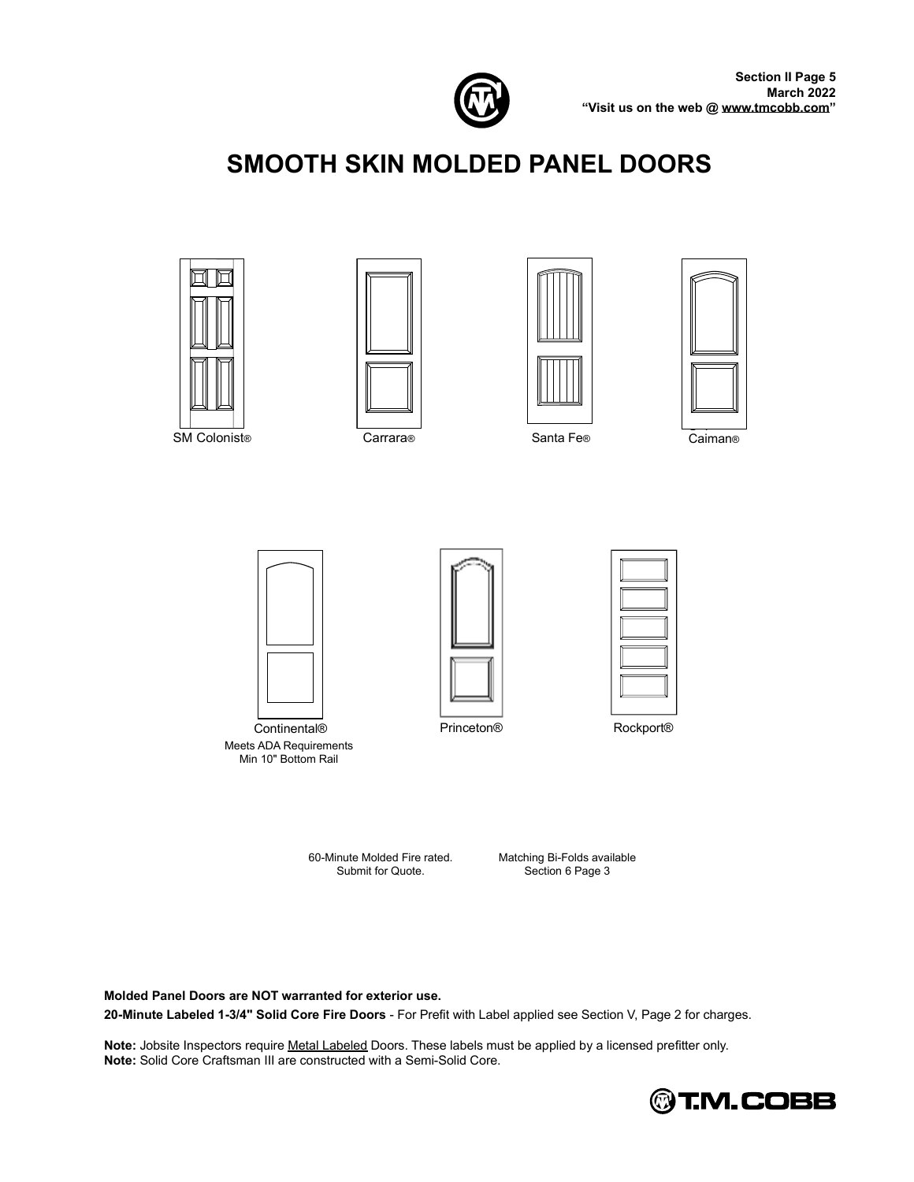

# **SMOOTH SKIN MOLDED PANEL DOORS**



SM Colonist® Carrara®







Santa Fe®

Caiman®



Continental® Meets ADA Requirements Min 10" Bottom Rail



Princeton®



Rockport<sup>®</sup>

60-Minute Molded Fire rated. Submit for Quote.

Matching Bi-Folds available Section 6 Page 3

**Molded Panel Doors are NOT warranted for exterior use.** 20-Minute Labeled 1-3/4" Solid Core Fire Doors - For Prefit with Label applied see Section V, Page 2 for charges.

Note: Jobsite Inspectors require Metal Labeled Doors. These labels must be applied by a licensed prefitter only. **Note:** Solid Core Craftsman III are constructed with a Semi-Solid Core.

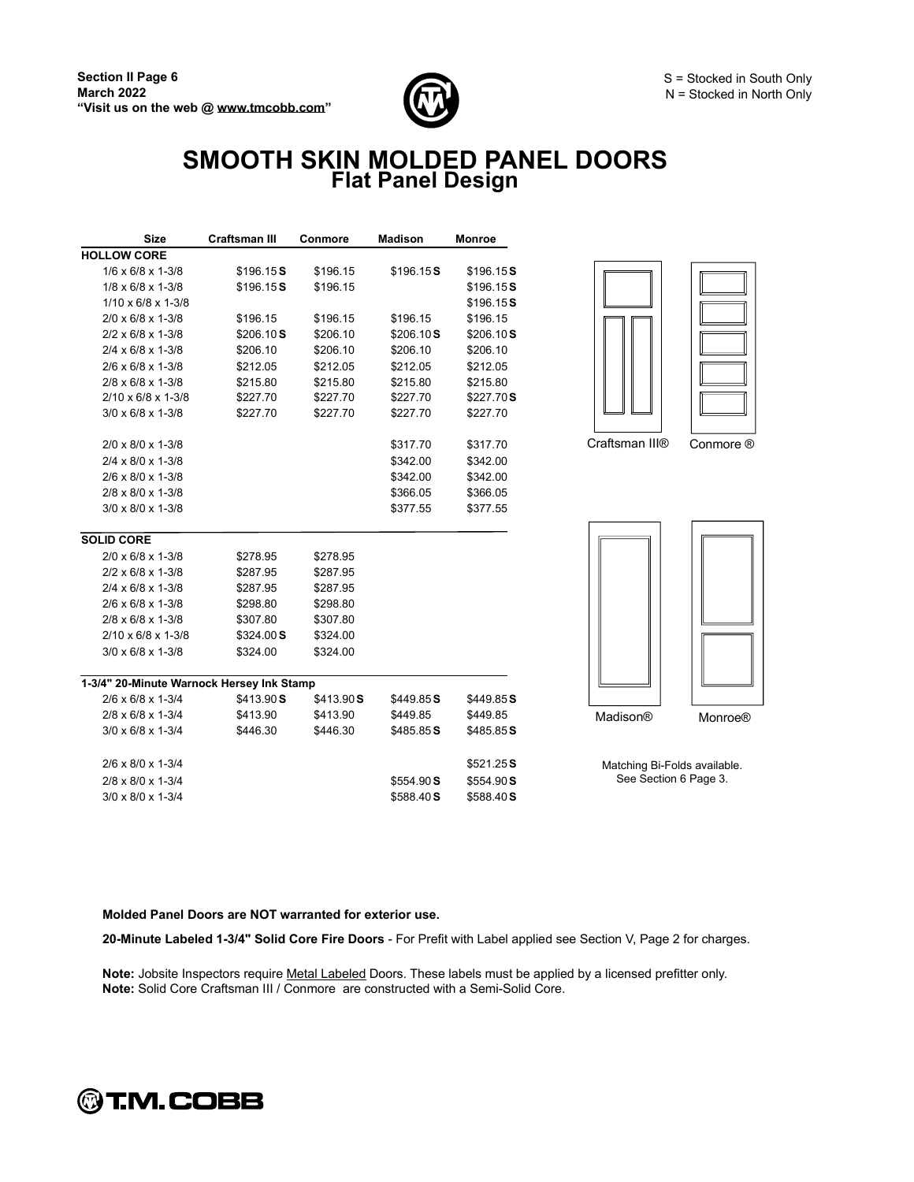

### **SMOOTH SKIN MOLDED PANEL DOORS Flat Panel Design**

| <b>Size</b>                               | <b>Craftsman III</b> | Conmore    | <b>Madison</b> | <b>Monroe</b> |
|-------------------------------------------|----------------------|------------|----------------|---------------|
| <b>HOLLOW CORE</b>                        |                      |            |                |               |
| $1/6 \times 6/8 \times 1-3/8$             | \$196.15S            | \$196.15   | \$196.15S      | \$196.15S     |
| $1/8 \times 6/8 \times 1-3/8$             | \$196.15S            | \$196.15   |                | \$196.15S     |
| $1/10 \times 6/8 \times 1-3/8$            |                      |            |                | \$196.15S     |
| $2/0 \times 6/8 \times 1 - 3/8$           | \$196.15             | \$196.15   | \$196.15       | \$196.15      |
| $2/2 \times 6/8 \times 1 - 3/8$           | \$206.10S            | \$206.10   | \$206.10S      | \$206.10S     |
| $2/4 \times 6/8 \times 1 - 3/8$           | \$206.10             | \$206.10   | \$206.10       | \$206.10      |
| $2/6 \times 6/8 \times 1 - 3/8$           | \$212.05             | \$212.05   | \$212.05       | \$212.05      |
| $2/8 \times 6/8 \times 1 - 3/8$           | \$215.80             | \$215.80   | \$215.80       | \$215.80      |
| $2/10 \times 6/8 \times 1-3/8$            | \$227.70             | \$227.70   | \$227.70       | \$227.70S     |
| $3/0 \times 6/8 \times 1 - 3/8$           | \$227.70             | \$227.70   | \$227.70       | \$227.70      |
| $2/0 \times 8/0 \times 1-3/8$             |                      |            | \$317.70       | \$317.70      |
| $2/4 \times 8/0 \times 1-3/8$             |                      |            | \$342.00       | \$342.00      |
| $2/6 \times 8/0 \times 1-3/8$             |                      |            | \$342.00       | \$342.00      |
| 2/8 x 8/0 x 1-3/8                         |                      |            | \$366.05       | \$366.05      |
| $3/0 \times 8/0 \times 1-3/8$             |                      |            | \$377.55       | \$377.55      |
| <b>SOLID CORE</b>                         |                      |            |                |               |
| $2/0 \times 6/8 \times 1 - 3/8$           | \$278.95             | \$278.95   |                |               |
| $2/2 \times 6/8 \times 1 - 3/8$           | \$287.95             | \$287.95   |                |               |
| $2/4 \times 6/8 \times 1 - 3/8$           | \$287.95             | \$287.95   |                |               |
| $2/6 \times 6/8 \times 1 - \frac{3}{8}$   | \$298.80             | \$298.80   |                |               |
| $2/8 \times 6/8 \times 1 - 3/8$           | \$307.80             | \$307.80   |                |               |
| $2/10 \times 6/8 \times 1-3/8$            | \$324.00 S           | \$324.00   |                |               |
| $3/0 \times 6/8 \times 1 - 3/8$           | \$324.00             | \$324.00   |                |               |
| 1-3/4" 20-Minute Warnock Hersey Ink Stamp |                      |            |                |               |
| $2/6 \times 6/8 \times 1-3/4$             | \$413.90 S           | \$413.90 S | \$449.85S      | \$449.85S     |
| $2/8 \times 6/8 \times 1 - 3/4$           | \$413.90             | \$413.90   | \$449.85       | \$449.85      |
| $3/0 \times 6/8 \times 1 - 3/4$           | \$446.30             | \$446.30   | \$485.85 S     | \$485.85S     |
| $2/6 \times 8/0 \times 1-3/4$             |                      |            |                | \$521.25S     |
| 2/8 x 8/0 x 1-3/4                         |                      |            | \$554.90 S     | \$554.90S     |
| $3/0 \times 8/0 \times 1-3/4$             |                      |            | \$588.40S      | \$588.40S     |



Craftsman III® Conmore ®



Matching Bi-Folds available. See Section 6 Page 3.

#### **Molded Panel Doors are NOT warranted for exterior use.**

20-Minute Labeled 1-3/4" Solid Core Fire Doors - For Prefit with Label applied see Section V, Page 2 for charges.

Note: Jobsite Inspectors require Metal Labeled Doors. These labels must be applied by a licensed prefitter only. **Note:** Solid Core Craftsman III / Conmore are constructed with a Semi-Solid Core.

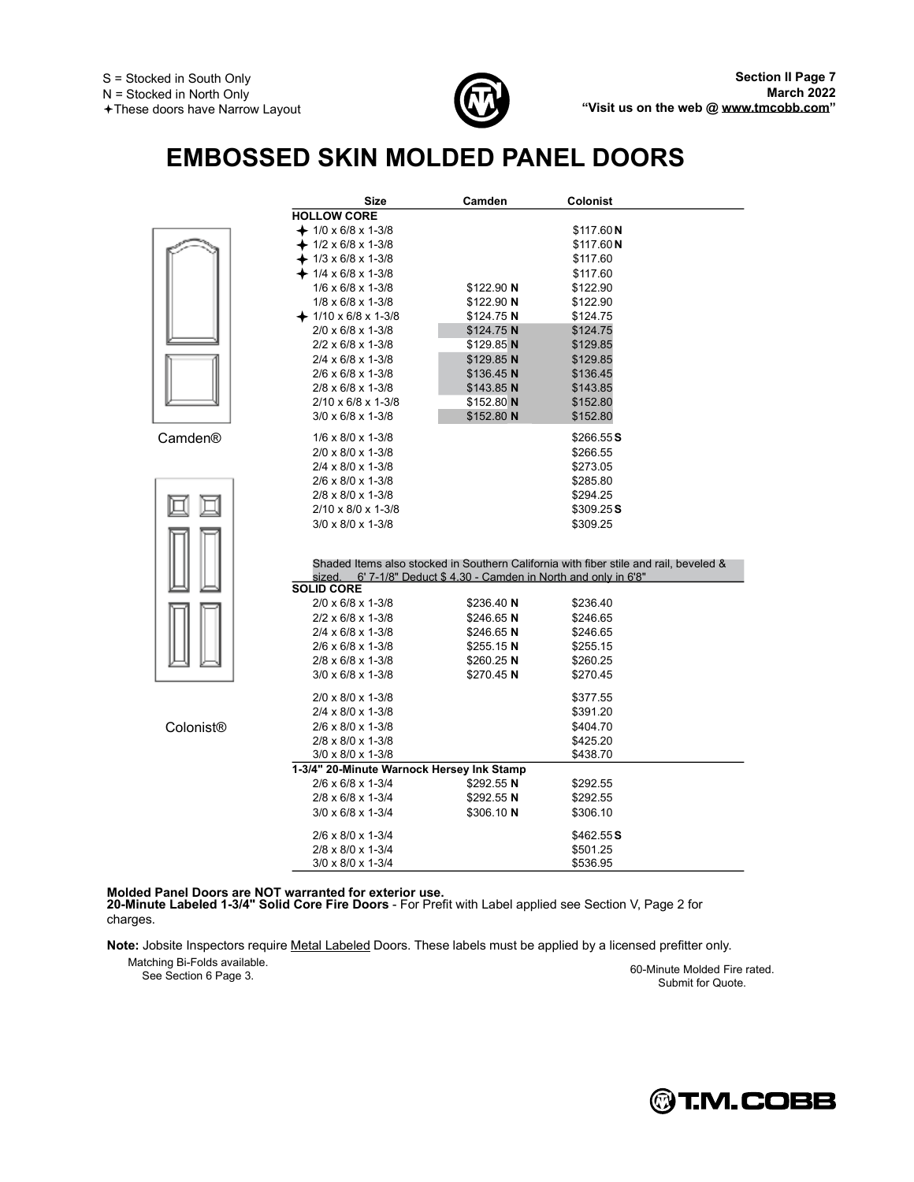

# **EMBOSSED SKIN MOLDED PANEL DOORS**

|           | Size                                      | Camden                                                     | Colonist                                                                              |
|-----------|-------------------------------------------|------------------------------------------------------------|---------------------------------------------------------------------------------------|
|           | <b>HOLLOW CORE</b>                        |                                                            |                                                                                       |
|           | $+$ 1/0 x 6/8 x 1-3/8                     |                                                            | \$117.60 N                                                                            |
|           | $-1/2 \times 6/8 \times 1-3/8$            |                                                            | \$117.60 N                                                                            |
|           | $+1/3 \times 6/8 \times 1-3/8$            |                                                            | \$117.60                                                                              |
|           | $-1/4 \times 6/8 \times 1-3/8$            |                                                            | \$117.60                                                                              |
|           | $1/6 \times 6/8 \times 1-3/8$             | \$122.90 N                                                 | \$122.90                                                                              |
|           | $1/8 \times 6/8 \times 1 - 3/8$           | \$122.90 N                                                 | \$122.90                                                                              |
|           | $+1/10 \times 6/8 \times 1-3/8$           | \$124.75 N                                                 | \$124.75                                                                              |
|           | $2/0 \times 6/8 \times 1 - 3/8$           | \$124.75 N                                                 | \$124.75                                                                              |
|           | $2/2 \times 6/8 \times 1 - 3/8$           | $$129.85$ N                                                | \$129.85                                                                              |
|           | $2/4 \times 6/8 \times 1 - 3/8$           | \$129.85 N                                                 | \$129.85                                                                              |
|           | $2/6 \times 6/8 \times 1 - 3/8$           | $$136.45$ N                                                | \$136.45                                                                              |
|           | $2/8 \times 6/8 \times 1 - 3/8$           | $$143.85$ N                                                | \$143.85                                                                              |
|           | $2/10 \times 6/8 \times 1 - 3/8$          | \$152.80 N                                                 | \$152.80                                                                              |
|           | $3/0 \times 6/8 \times 1 - 3/8$           | \$152.80 N                                                 | \$152.80                                                                              |
| Camden®   | $1/6 \times 8/0 \times 1-3/8$             |                                                            | \$266.55S                                                                             |
|           | $2/0 \times 8/0 \times 1-3/8$             |                                                            | \$266.55                                                                              |
|           | $2/4 \times 8/0 \times 1 - 3/8$           |                                                            | \$273.05                                                                              |
|           | $2/6 \times 8/0 \times 1-3/8$             |                                                            | \$285.80                                                                              |
|           | 2/8 x 8/0 x 1-3/8                         |                                                            | \$294.25                                                                              |
|           | $2/10 \times 8/0 \times 1-3/8$            |                                                            | \$309.25S                                                                             |
|           | $3/0 \times 8/0 \times 1-3/8$             |                                                            | \$309.25                                                                              |
|           | sized.<br><b>SOLID CORE</b>               | 6' 7-1/8" Deduct \$4.30 - Camden in North and only in 6'8" | Shaded Items also stocked in Southern California with fiber stile and rail, beveled & |
|           | 2/0 x 6/8 x 1-3/8                         | \$236.40 N                                                 | \$236.40                                                                              |
|           | $2/2 \times 6/8 \times 1 - 3/8$           | $$246.65$ N                                                | \$246.65                                                                              |
|           | $2/4 \times 6/8 \times 1 - 3/8$           | $$246.65$ N                                                | \$246.65                                                                              |
|           | $2/6 \times 6/8 \times 1 - 3/8$           | $$255.15$ N                                                | \$255.15                                                                              |
|           | 2/8 x 6/8 x 1-3/8                         | $$260.25$ N                                                | \$260.25                                                                              |
|           | $3/0 \times 6/8 \times 1 - 3/8$           | $$270.45$ N                                                | \$270.45                                                                              |
|           | 2/0 x 8/0 x 1-3/8                         |                                                            | \$377.55                                                                              |
|           | $2/4 \times 8/0 \times 1-3/8$             |                                                            | \$391.20                                                                              |
| Colonist® | $2/6 \times 8/0 \times 1-3/8$             |                                                            | \$404.70                                                                              |
|           | 2/8 x 8/0 x 1-3/8                         |                                                            | \$425.20                                                                              |
|           | 3/0 x 8/0 x 1-3/8                         |                                                            | \$438.70                                                                              |
|           | 1-3/4" 20-Minute Warnock Hersey Ink Stamp |                                                            |                                                                                       |
|           | $2/6 \times 6/8 \times 1 - 3/4$           | $$292.55$ N                                                | \$292.55                                                                              |
|           | $2/8 \times 6/8 \times 1 - 3/4$           | $$292.55$ N                                                | \$292.55                                                                              |
|           | $3/0 \times 6/8 \times 1 - 3/4$           | \$306.10 N                                                 | \$306.10                                                                              |
|           | 2/6 x 8/0 x 1-3/4                         |                                                            | \$462.55S                                                                             |
|           | $2/8 \times 8/0 \times 1-3/4$             |                                                            | \$501.25                                                                              |
|           | $3/0 \times 8/0 \times 1 - 3/4$           |                                                            | \$536.95                                                                              |

Molded Panel Doors are NOT warranted for exterior use.<br>20-Minute Labeled 1-3/4'' Solid Core Fire Doors - For Prefit with Label applied see Section V, Page 2 for charges.

Note: Jobsite Inspectors require Metal Labeled Doors. These labels must be applied by a licensed prefitter only.

Matching Bi-Folds available.

arching Bi-Fords available.<br>See Section 6 Page 3. 60-Minute Molded Fire rated. Submit for Quote.

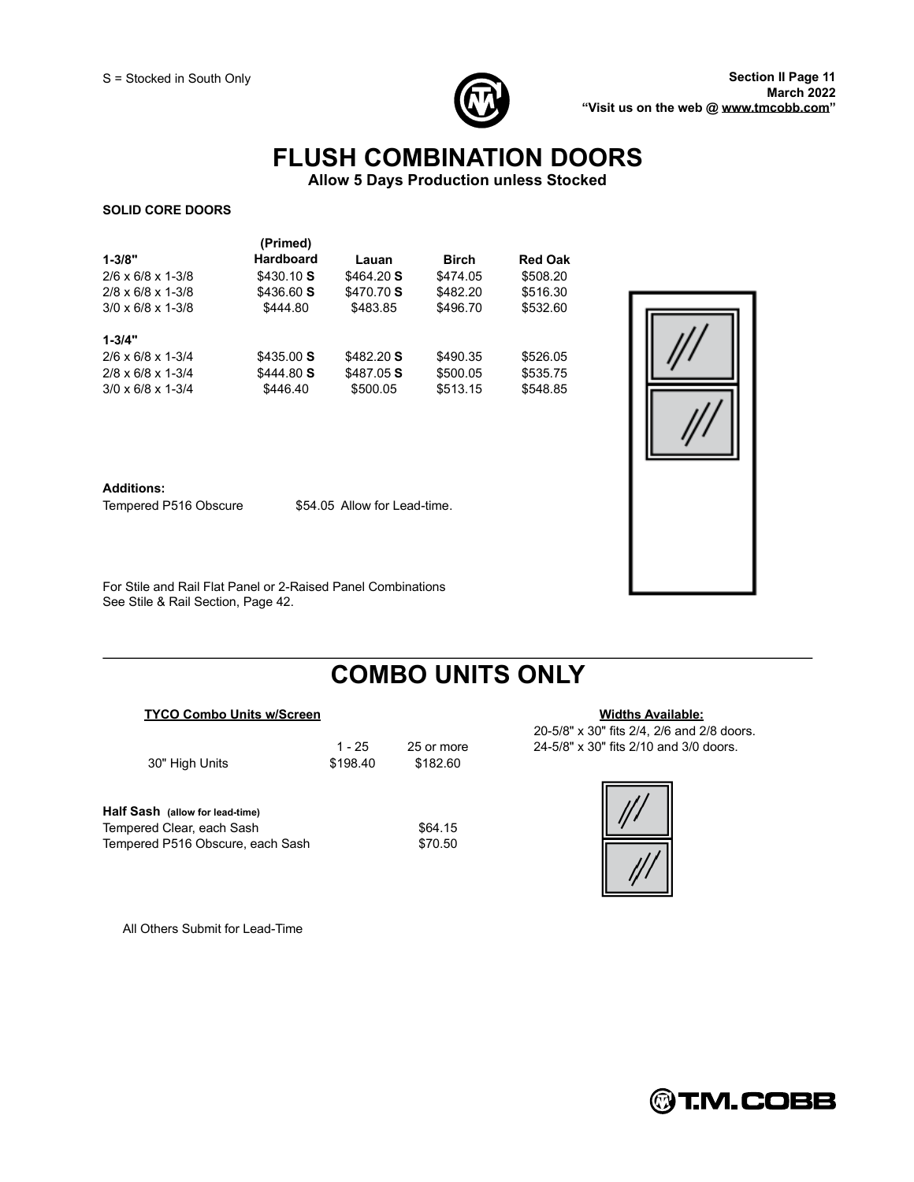

### **FLUSH COMBINATION DOORS**

**Allow 5 Days Production unless Stocked**

#### **SOLID CORE DOORS**

| $1 - 3/8"$<br>$2/6 \times 6/8 \times 1-3/8$<br>$2/8 \times 6/8 \times 1 - 3/8$<br>$3/0 \times 6/8 \times 1-3/8$ | (Primed)<br><b>Hardboard</b><br>\$430.10S<br>\$436.60 S<br>\$444.80 | Lauan<br>\$464.20 S<br>\$470.70 S<br>\$483.85 | <b>Birch</b><br>\$474.05<br>\$482.20<br>\$496.70 | <b>Red Oak</b><br>\$508.20<br>\$516.30<br>\$532.60 |
|-----------------------------------------------------------------------------------------------------------------|---------------------------------------------------------------------|-----------------------------------------------|--------------------------------------------------|----------------------------------------------------|
| $1 - 3/4"$<br>$2/6 \times 6/8 \times 1-3/4$<br>$2/8 \times 6/8 \times 1 - 3/4$<br>$3/0 \times 6/8 \times 1-3/4$ | \$435.00S<br>\$444.80 S<br>\$446.40                                 | \$482.20 S<br>\$487.05 S<br>\$500.05          | \$490.35<br>\$500.05<br>\$513.15                 | \$526.05<br>\$535.75<br>\$548.85                   |



#### **Additions:**

Tempered P516 Obscure \$54.05 Allow for Lead-time.

For Stile and Rail Flat Panel or 2-Raised Panel Combinations See Stile & Rail Section, Page 42.

### **COMBO UNITS ONLY**

#### **TYCO** Combo Units w/Screen **Widths Widths Widths Widths Available:**

| 30" High Units |  |
|----------------|--|

\$198.40 \$182.60

**Half Sash (allow for lead-time)** Tempered Clear, each Sash  $$64.15$ Tempered P516 Obscure, each Sash \$70.50

All Others Submit for Lead-Time

20-5/8" x 30" fits 2/4, 2/6 and 2/8 doors. 1 - 25 25 or more 24-5/8" x 30" fits 2/10 and 3/0 doors.



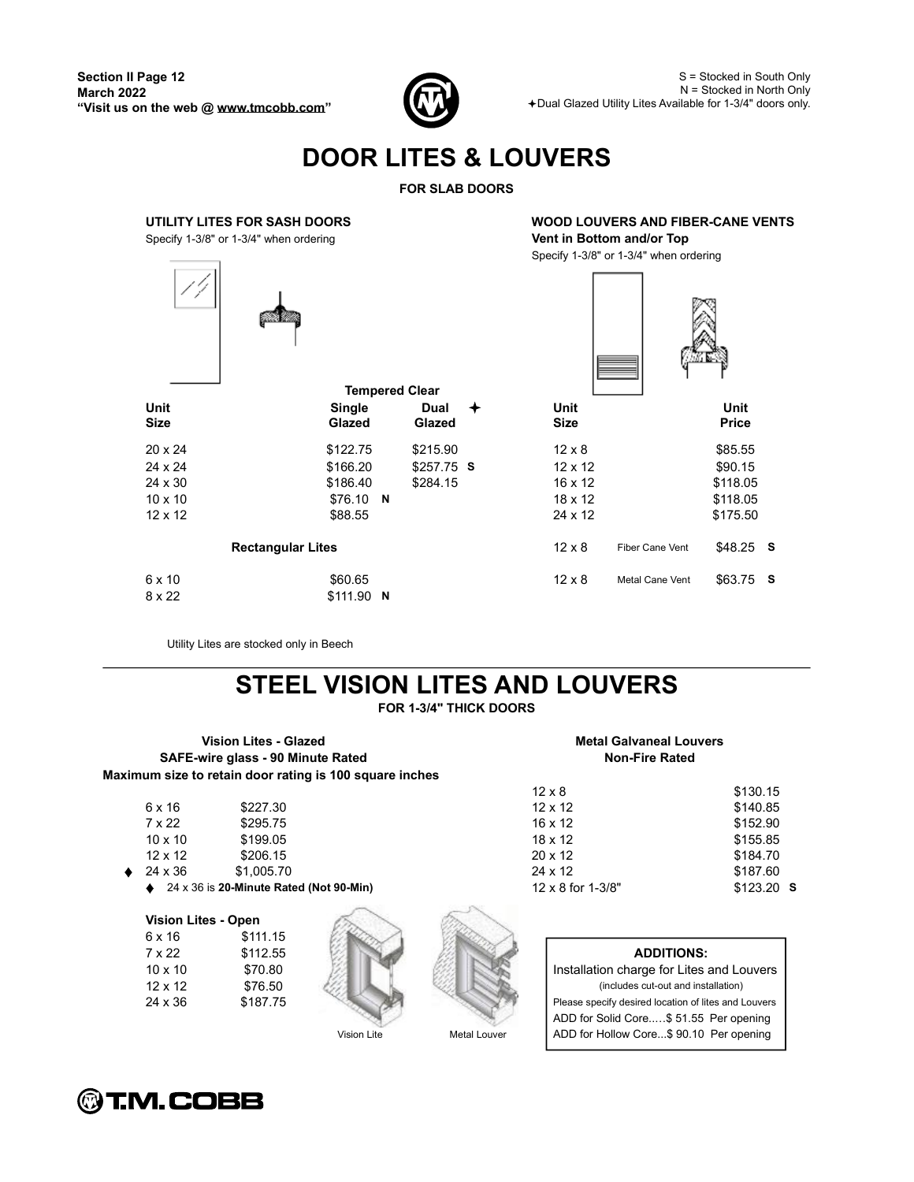

S = Stocked in South Only N = Stocked in North Only Dual Glazed Utility Lites Available for 1-3/4" doors only.

# **DOOR LITES & LOUVERS**

**FOR SLAB DOORS**



Utility Lites are stocked only in Beech

# **STEEL VISION LITES AND LOUVERS**

**FOR 1-3/4" THICK DOORS**

**Vision Lites - Glazed Metal Galvaneal Louvers SAFE-wire glass - 90 Minute Rated Non-Fire Rated Maximum size to retain door rating is 100 square inches**

| 6 x 16         | \$227.30    | $12 \times 12$ | \$140.85             |
|----------------|-------------|----------------|----------------------|
| 7 x 22         | \$295.75    | $16 \times 12$ | \$152.90             |
| $10 \times 10$ | \$199.05    | $18 \times 12$ | \$155.85             |
| $12 \times 12$ | \$206.15    | $20 \times 12$ | \$184.70             |
| $\sim$ $\sim$  | $ \sim - -$ | $\sim$ $\sim$  | $\ddot{\phantom{1}}$ |

24 x 36 \$1,005.70 \$187.60 24 x 36 is **20-Minute Rated (Not 90-Min)** 12 x 8 for 1-3/8" \$123.20 **S**

### **Vision Lites - Open**

| 6 x 16         | \$111.15 |
|----------------|----------|
| 7 x 22         | \$112.55 |
| $10 \times 10$ | \$70.80  |
| $12 \times 12$ | \$76.50  |
| 24 x 36        | \$187.75 |







### 10 x 10 \$70.80 Installation charge for Lites and Louvers

 $12 \times 8$  \$130.15

12 x 12 \$76.50 (includes cut-out and installation) Please specify desired location of lites and Louvers ADD for Solid Core..... \$51.55 Per opening Vision Lite Metal Louver ADD for Hollow Core...\$ 90.10 Per opening